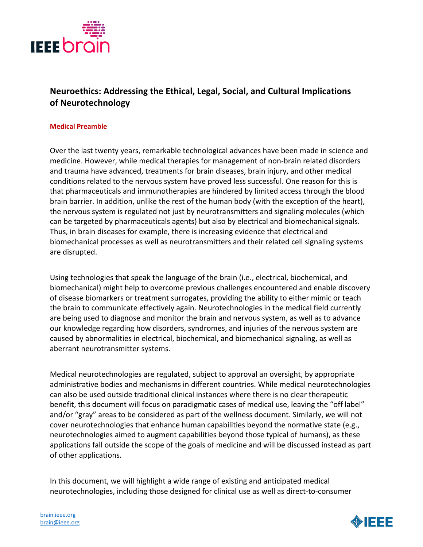

## **Neuroethics: Addressing the Ethical, Legal, Social, and Cultural Implications of Neurotechnology**

## **Medical Preamble**

Over the last twenty years, remarkable technological advances have been made in science and medicine. However, while medical therapies for management of non-brain related disorders and trauma have advanced, treatments for brain diseases, brain injury, and other medical conditions related to the nervous system have proved less successful. One reason for this is that pharmaceuticals and immunotherapies are hindered by limited access through the blood brain barrier. In addition, unlike the rest of the human body (with the exception of the heart), the nervous system is regulated not just by neurotransmitters and signaling molecules (which can be targeted by pharmaceuticals agents) but also by electrical and biomechanical signals. Thus, in brain diseases for example, there is increasing evidence that electrical and biomechanical processes as well as neurotransmitters and their related cell signaling systems are disrupted.

Using technologies that speak the language of the brain (i.e., electrical, biochemical, and biomechanical) might help to overcome previous challenges encountered and enable discovery of disease biomarkers or treatment surrogates, providing the ability to either mimic or teach the brain to communicate effectively again. Neurotechnologies in the medical field currently are being used to diagnose and monitor the brain and nervous system, as well as to advance our knowledge regarding how disorders, syndromes, and injuries of the nervous system are caused by abnormalities in electrical, biochemical, and biomechanical signaling, as well as aberrant neurotransmitter systems.

Medical neurotechnologies are regulated, subject to approval an oversight, by appropriate administrative bodies and mechanisms in different countries. While medical neurotechnologies can also be used outside traditional clinical instances where there is no clear therapeutic benefit, this document will focus on paradigmatic cases of medical use, leaving the "off label" and/or "gray" areas to be considered as part of the wellness document. Similarly, *w*e will not cover neurotechnologies that enhance human capabilities beyond the normative state (e.g., neurotechnologies aimed to augment capabilities beyond those typical of humans), as these applications fall outside the scope of the goals of medicine and will be discussed instead as part of other applications.

In this document, we will highlight a wide range of existing and anticipated medical neurotechnologies, including those designed for clinical use as well as direct-to-consumer